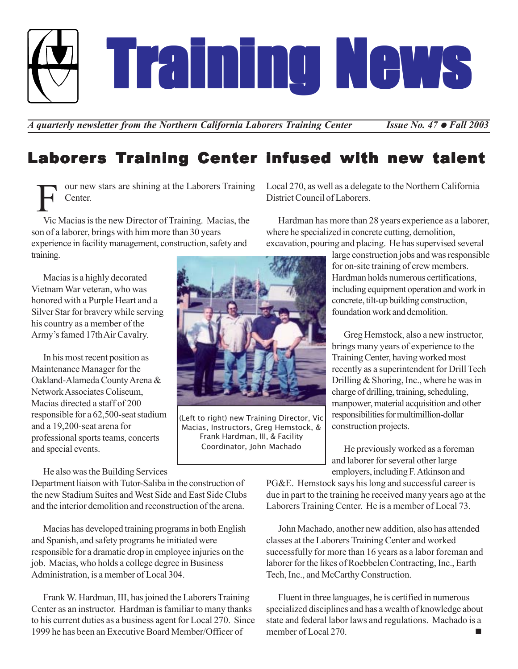Training News Training News Training News

*A* quarterly newsletter from the Northern California Laborers Training Center *Issue No. 47 • Fall 2003* 

# Laborers Training Center infused with new talent

our new stars are shining at the Laborers Training Center. F

Vic Macias is the new Director of Training. Macias, the son of a laborer, brings with him more than 30 years experience in facility management, construction, safety and training.

Macias is a highly decorated Vietnam War veteran, who was honored with a Purple Heart and a Silver Star for bravery while serving his country as a member of the Army's famed 17th Air Cavalry.

In his most recent position as Maintenance Manager for the Oakland-Alameda County Arena & Network Associates Coliseum, Macias directed a staff of 200 responsible for a 62,500-seat stadium and a 19,200-seat arena for professional sports teams, concerts and special events.

He also was the Building Services

Department liaison with Tutor-Saliba in the construction of the new Stadium Suites and West Side and East Side Clubs and the interior demolition and reconstruction of the arena.

Macias has developed training programs in both English and Spanish, and safety programs he initiated were responsible for a dramatic drop in employee injuries on the job. Macias, who holds a college degree in Business Administration, is a member of Local 304.

Frank W. Hardman, III, has joined the Laborers Training Center as an instructor. Hardman is familiar to many thanks to his current duties as a business agent for Local 270. Since 1999 he has been an Executive Board Member/Officer of



(Left to right) new Training Director, Vic Macias, Instructors, Greg Hemstock, & Frank Hardman, III, & Facility Coordinator, John Machado

Local 270, as well as a delegate to the Northern California District Council of Laborers.

Hardman has more than 28 years experience as a laborer, where he specialized in concrete cutting, demolition, excavation, pouring and placing. He has supervised several

> large construction jobs and was responsible for on-site training of crew members. Hardman holds numerous certifications, including equipment operation and work in concrete, tilt-up building construction, foundation work and demolition.

Greg Hemstock, also a new instructor, brings many years of experience to the Training Center, having worked most recently as a superintendent for Drill Tech Drilling & Shoring, Inc., where he was in charge of drilling, training, scheduling, manpower, material acquisition and other responsibilities for multimillion-dollar construction projects.

He previously worked as a foreman and laborer for several other large employers, including F. Atkinson and

PG&E. Hemstock says his long and successful career is due in part to the training he received many years ago at the Laborers Training Center. He is a member of Local 73.

John Machado, another new addition, also has attended classes at the Laborers Training Center and worked successfully for more than 16 years as a labor foreman and laborer for the likes of Roebbelen Contracting, Inc., Earth Tech, Inc., and McCarthy Construction.

Fluent in three languages, he is certified in numerous specialized disciplines and has a wealth of knowledge about state and federal labor laws and regulations. Machado is a member of Local 270.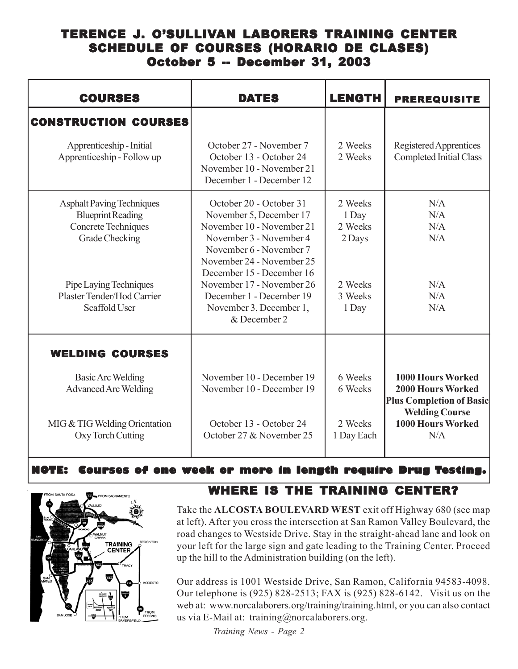### TERENCE J. O'SULLIVAN LABORERS TRAINING CENTER SCHEDULE OF COURSES (HORARIO DE CLASES) October 5 -- December 31, 2003

| <b>COURSES</b>                                                                                               | <b>DATES</b>                                                                                                                                                       | <b>LENGTH</b>                         | <b>PREREQUISITE</b>                                                                                              |
|--------------------------------------------------------------------------------------------------------------|--------------------------------------------------------------------------------------------------------------------------------------------------------------------|---------------------------------------|------------------------------------------------------------------------------------------------------------------|
| <b>CONSTRUCTION COURSES</b>                                                                                  |                                                                                                                                                                    |                                       |                                                                                                                  |
| Apprenticeship - Initial<br>Apprenticeship - Follow up                                                       | October 27 - November 7<br>October 13 - October 24<br>November 10 - November 21<br>December 1 - December 12                                                        | 2 Weeks<br>2 Weeks                    | Registered Apprentices<br><b>Completed Initial Class</b>                                                         |
| <b>Asphalt Paving Techniques</b><br><b>Blueprint Reading</b><br>Concrete Techniques<br><b>Grade Checking</b> | October 20 - October 31<br>November 5, December 17<br>November 10 - November 21<br>November 3 - November 4<br>November 6 - November 7<br>November 24 - November 25 | 2 Weeks<br>1 Day<br>2 Weeks<br>2 Days | N/A<br>N/A<br>N/A<br>N/A                                                                                         |
| Pipe Laying Techniques<br>Plaster Tender/Hod Carrier<br>Scaffold User                                        | December 15 - December 16<br>November 17 - November 26<br>December 1 - December 19<br>November 3, December 1,<br>& December 2                                      | 2 Weeks<br>3 Weeks<br>1 Day           | N/A<br>N/A<br>N/A                                                                                                |
| <b>WELDING COURSES</b>                                                                                       |                                                                                                                                                                    |                                       |                                                                                                                  |
| Basic Arc Welding<br><b>Advanced Arc Welding</b>                                                             | November 10 - December 19<br>November 10 - December 19                                                                                                             | 6 Weeks<br>6 Weeks                    | <b>1000 Hours Worked</b><br><b>2000 Hours Worked</b><br><b>Plus Completion of Basic</b><br><b>Welding Course</b> |
| MIG & TIG Welding Orientation<br>Oxy Torch Cutting                                                           | October 13 - October 24<br>October 27 & November 25                                                                                                                | 2 Weeks<br>1 Day Each                 | 1000 Hours Worked<br>N/A                                                                                         |

#### **NOTE: Courses of one week or more in length require Drug Testing.**



#### WHERE IS THE TRAINING CENTER?

Take the **ALCOSTA BOULEVARD WEST** exit off Highway 680 (see map at left). After you cross the intersection at San Ramon Valley Boulevard, the road changes to Westside Drive. Stay in the straight-ahead lane and look on your left for the large sign and gate leading to the Training Center. Proceed up the hill to the Administration building (on the left).

Our address is 1001 Westside Drive, San Ramon, California 94583-4098. Our telephone is (925) 828-2513; FAX is (925) 828-6142. Visit us on the web at: www.norcalaborers.org/training/training.html, or you can also contact us via E-Mail at: training@norcalaborers.org.

*Training News - Page 2*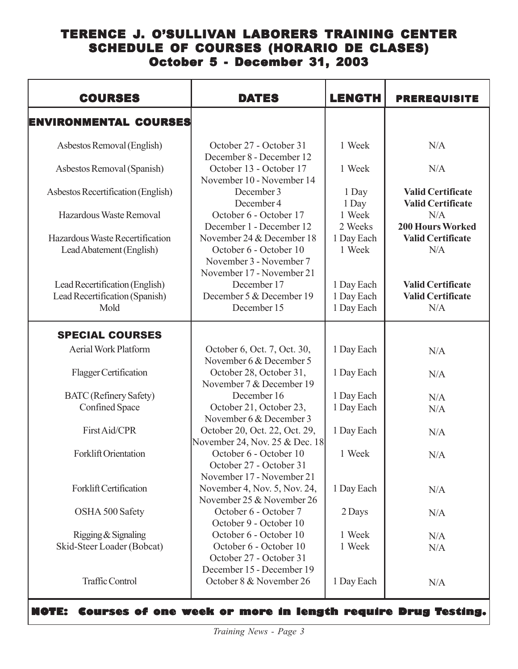## TERENCE J. O'SULLIVAN LABORERS TRAINING CENTER SCHEDULE OF COURSES (HORARIO DE CLASES) October 5 - December 31, 2003

| <b>COURSES</b>                                                           | <b>DATES</b>                                                                                                | <b>LENGTH</b>                          | <b>PREREQUISITE</b>                                         |
|--------------------------------------------------------------------------|-------------------------------------------------------------------------------------------------------------|----------------------------------------|-------------------------------------------------------------|
| <b>ENVIRONMENTAL COURSES</b>                                             |                                                                                                             |                                        |                                                             |
| Asbestos Removal (English)                                               | October 27 - October 31<br>December 8 - December 12                                                         | 1 Week                                 | N/A                                                         |
| Asbestos Removal (Spanish)                                               | October 13 - October 17<br>November 10 - November 14                                                        | 1 Week                                 | N/A                                                         |
| Asbestos Recertification (English)                                       | December 3<br>December 4                                                                                    | 1 Day<br>1 Day                         | <b>Valid Certificate</b><br><b>Valid Certificate</b>        |
| Hazardous Waste Removal                                                  | October 6 - October 17<br>December 1 - December 12                                                          | 1 Week<br>2 Weeks                      | N/A<br><b>200 Hours Worked</b>                              |
| Hazardous Waste Recertification<br>Lead Abatement (English)              | November 24 & December 18<br>October 6 - October 10<br>November 3 - November 7<br>November 17 - November 21 | 1 Day Each<br>1 Week                   | <b>Valid Certificate</b><br>N/A                             |
| Lead Recertification (English)<br>Lead Recertification (Spanish)<br>Mold | December 17<br>December 5 & December 19<br>December 15                                                      | 1 Day Each<br>1 Day Each<br>1 Day Each | <b>Valid Certificate</b><br><b>Valid Certificate</b><br>N/A |
| <b>SPECIAL COURSES</b>                                                   |                                                                                                             |                                        |                                                             |
| <b>Aerial Work Platform</b>                                              | October 6, Oct. 7, Oct. 30,<br>November 6 & December 5                                                      | 1 Day Each                             | N/A                                                         |
| Flagger Certification                                                    | October 28, October 31,<br>November 7 & December 19                                                         | 1 Day Each                             | N/A                                                         |
| <b>BATC</b> (Refinery Safety)                                            | December 16                                                                                                 | 1 Day Each                             | N/A                                                         |
| <b>Confined Space</b>                                                    | October 21, October 23,<br>November 6 & December 3                                                          | 1 Day Each                             | N/A                                                         |
| First Aid/CPR                                                            | October 20, Oct. 22, Oct. 29,<br>November 24, Nov. 25 & Dec. 18                                             | 1 Day Each                             | N/A                                                         |
| <b>Forklift Orientation</b>                                              | October 6 - October 10<br>October 27 - October 31<br>November 17 - November 21                              | 1 Week                                 | N/A                                                         |
| Forklift Certification                                                   | November 4, Nov. 5, Nov. 24,<br>November 25 & November 26                                                   | 1 Day Each                             | N/A                                                         |
| OSHA 500 Safety                                                          | October 6 - October 7<br>October 9 - October 10                                                             | 2 Days                                 | N/A                                                         |
| Rigging & Signaling                                                      | October 6 - October 10                                                                                      | 1 Week                                 | N/A                                                         |
| Skid-Steer Loader (Bobcat)                                               | October 6 - October 10<br>October 27 - October 31<br>December 15 - December 19                              | 1 Week                                 | N/A                                                         |
| <b>Traffic Control</b>                                                   | October 8 & November 26                                                                                     | 1 Day Each                             | N/A                                                         |

**NOTE: Courses of one week or more in length require Drug Testing.**